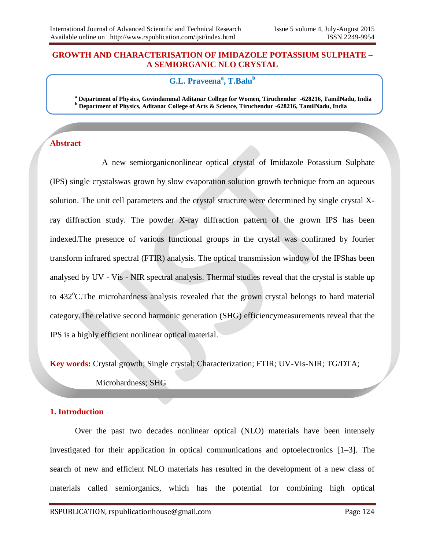#### **GROWTH AND CHARACTERISATION OF IMIDAZOLE POTASSIUM SULPHATE – A SEMIORGANIC NLO CRYSTAL**

# **G.L. Praveena<sup>a</sup> , T.Balu<sup>b</sup>**

**<sup>a</sup> Department of Physics, Govindammal Aditanar College for Women, Tiruchendur -628216, TamilNadu, India <sup>b</sup> Department of Physics, Aditanar College of Arts & Science, Tiruchendur -628216, TamilNadu, India** 

### **Abstract**

 A new semiorganicnonlinear optical crystal of Imidazole Potassium Sulphate (IPS) single crystalswas grown by slow evaporation solution growth technique from an aqueous solution. The unit cell parameters and the crystal structure were determined by single crystal Xray diffraction study. The powder X-ray diffraction pattern of the grown IPS has been indexed.The presence of various functional groups in the crystal was confirmed by fourier transform infrared spectral (FTIR) analysis. The optical transmission window of the IPShas been analysed by UV - Vis - NIR spectral analysis. Thermal studies reveal that the crystal is stable up to 432<sup>o</sup>C. The microhardness analysis revealed that the grown crystal belongs to hard material category.The relative second harmonic generation (SHG) efficiencymeasurements reveal that the IPS is a highly efficient nonlinear optical material.

**Key words:** Crystal growth; Single crystal; Characterization; FTIR; UV-Vis-NIR; TG/DTA;

Microhardness; SHG

#### **1. Introduction**

Over the past two decades nonlinear optical (NLO) materials have been intensely investigated for their application in optical communications and optoelectronics [1–3]. The search of new and efficient NLO materials has resulted in the development of a new class of materials called semiorganics, which has the potential for combining high optical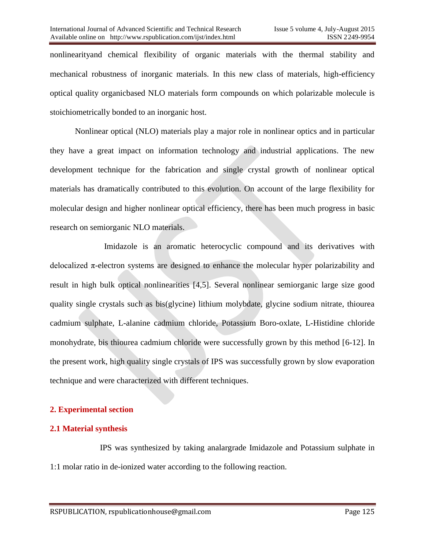nonlinearityand chemical flexibility of organic materials with the thermal stability and mechanical robustness of inorganic materials. In this new class of materials, high-efficiency optical quality organicbased NLO materials form compounds on which polarizable molecule is stoichiometrically bonded to an inorganic host.

Nonlinear optical (NLO) materials play a major role in nonlinear optics and in particular they have a great impact on information technology and industrial applications. The new development technique for the fabrication and single crystal growth of nonlinear optical materials has dramatically contributed to this evolution. On account of the large flexibility for molecular design and higher nonlinear optical efficiency, there has been much progress in basic research on semiorganic NLO materials.

Imidazole is an aromatic heterocyclic compound and its derivatives with delocalized π-electron systems are designed to enhance the molecular hyper polarizability and result in high bulk optical nonlinearities [4,5]. Several nonlinear semiorganic large size good quality single crystals such as bis(glycine) lithium molybdate, glycine sodium nitrate, thiourea cadmium sulphate, L-alanine cadmium chloride, Potassium Boro-oxlate, L-Histidine chloride monohydrate, bis thiourea cadmium chloride were successfully grown by this method [6-12]. In the present work, high quality single crystals of IPS was successfully grown by slow evaporation technique and were characterized with different techniques.

## **2. Experimental section**

## **2.1 Material synthesis**

IPS was synthesized by taking analargrade Imidazole and Potassium sulphate in 1:1 molar ratio in de-ionized water according to the following reaction.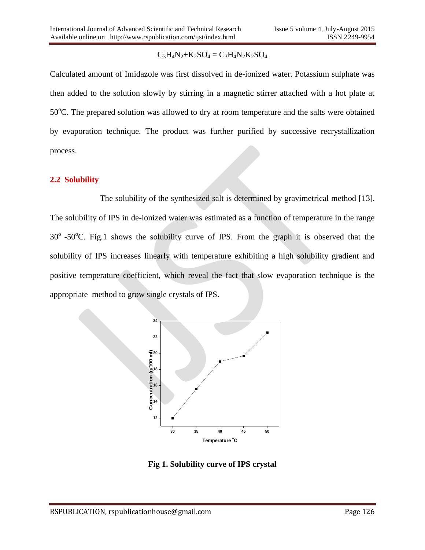# $C_3H_4N_2+K_2SO_4 = C_3H_4N_2K_2SO_4$

Calculated amount of Imidazole was first dissolved in de-ionized water. Potassium sulphate was then added to the solution slowly by stirring in a magnetic stirrer attached with a hot plate at  $50^{\circ}$ C. The prepared solution was allowed to dry at room temperature and the salts were obtained by evaporation technique. The product was further purified by successive recrystallization process.

### **2.2 Solubility**

The solubility of the synthesized salt is determined by gravimetrical method [13]. The solubility of IPS in de-ionized water was estimated as a function of temperature in the range  $30^{\circ}$  -50 $^{\circ}$ C. Fig.1 shows the solubility curve of IPS. From the graph it is observed that the solubility of IPS increases linearly with temperature exhibiting a high solubility gradient and positive temperature coefficient, which reveal the fact that slow evaporation technique is the appropriate method to grow single crystals of IPS.



**Fig 1. Solubility curve of IPS crystal**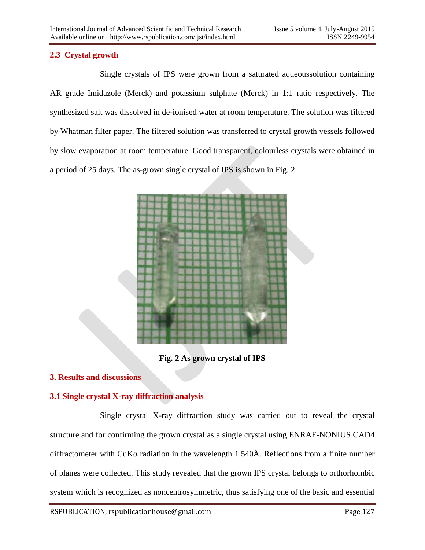# **2.3 Crystal growth**

Single crystals of IPS were grown from a saturated aqueoussolution containing AR grade Imidazole (Merck) and potassium sulphate (Merck) in 1:1 ratio respectively. The synthesized salt was dissolved in de-ionised water at room temperature. The solution was filtered by Whatman filter paper. The filtered solution was transferred to crystal growth vessels followed by slow evaporation at room temperature. Good transparent, colourless crystals were obtained in a period of 25 days. The as-grown single crystal of IPS is shown in Fig. 2.



**Fig. 2 As grown crystal of IPS**

## **3. Results and discussions**

# **3.1 Single crystal X-ray diffraction analysis**

Single crystal X-ray diffraction study was carried out to reveal the crystal structure and for confirming the grown crystal as a single crystal using ENRAF-NONIUS CAD4 diffractometer with CuK $\alpha$  radiation in the wavelength 1.540Å. Reflections from a finite number of planes were collected. This study revealed that the grown IPS crystal belongs to orthorhombic system which is recognized as noncentrosymmetric, thus satisfying one of the basic and essential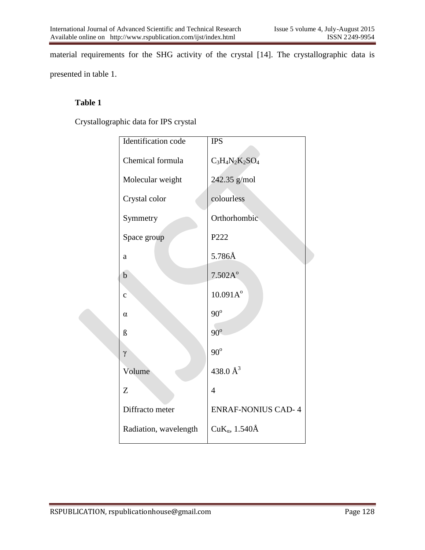material requirements for the SHG activity of the crystal [14]. The crystallographic data is presented in table 1.

# **Table 1**

Crystallographic data for IPS crystal

| Identification code   | <b>IPS</b>                |
|-----------------------|---------------------------|
| Chemical formula      | $C_3H_4N_2K_2SO_4$        |
| Molecular weight      | 242.35 g/mol              |
| Crystal color         | colourless                |
| Symmetry              | Orthorhombic              |
| Space group           | P222                      |
| $\rm{a}$              | 5.786Å                    |
| $\mathbf b$           | 7.502A <sup>o</sup>       |
| $\mathbf{C}$          | 10.091A <sup>o</sup>      |
| $\alpha$              | $90^{\rm o}$              |
| $\beta$               | $90^\circ$                |
| $\gamma$              | $90^{\circ}$              |
| Volume                | 438.0 $\AA^3$             |
| Z                     | $\overline{4}$            |
| Diffracto meter       | <b>ENRAF-NONIUS CAD-4</b> |
| Radiation, wavelength | CuK <sub>a</sub> , 1.540Å |
|                       |                           |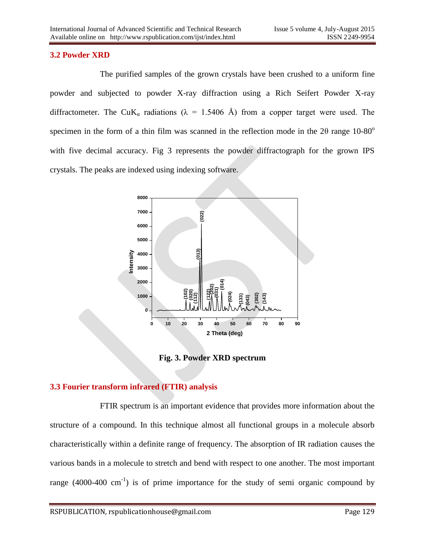# **3.2 Powder XRD**

The purified samples of the grown crystals have been crushed to a uniform fine powder and subjected to powder X-ray diffraction using a Rich Seifert Powder X-ray diffractometer. The CuK<sub>α</sub> radiations ( $\lambda$  = 1.5406 Å) from a copper target were used. The specimen in the form of a thin film was scanned in the reflection mode in the  $2\theta$  range  $10{\text -}80^{\circ}$ with five decimal accuracy. Fig 3 represents the powder diffractograph for the grown IPS crystals. The peaks are indexed using indexing software.



**Fig. 3. Powder XRD spectrum** 

## **3.3 Fourier transform infrared (FTIR) analysis**

FTIR spectrum is an important evidence that provides more information about the structure of a compound. In this technique almost all functional groups in a molecule absorb characteristically within a definite range of frequency. The absorption of IR radiation causes the various bands in a molecule to stretch and bend with respect to one another. The most important range  $(4000-400 \text{ cm}^{-1})$  is of prime importance for the study of semi organic compound by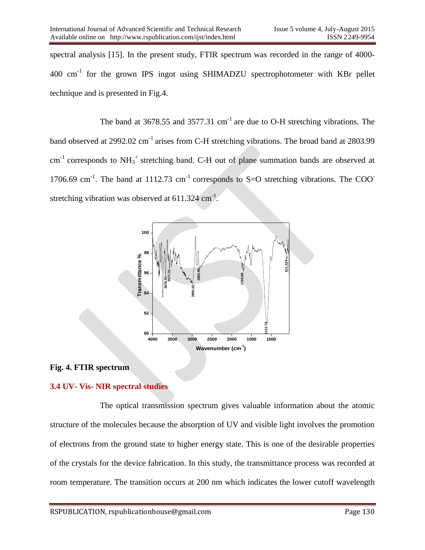spectral analysis [15]. In the present study, FTIR spectrum was recorded in the range of 4000- 400 cm<sup>-1</sup> for the grown IPS ingot using SHIMADZU spectrophotometer with KBr pellet technique and is presented in Fig.4.

The band at  $3678.55$  and  $3577.31$  cm<sup>-1</sup> are due to O-H stretching vibrations. The band observed at 2992.02 cm<sup>-1</sup> arises from C-H stretching vibrations. The broad band at 2803.99  $cm<sup>-1</sup>$  corresponds to  $NH_3^+$  stretching band. C-H out of plane summation bands are observed at 1706.69 cm<sup>-1</sup>. The band at 1112.73 cm<sup>-1</sup> corresponds to S=O stretching vibrations. The COO stretching vibration was observed at  $611.324$  cm<sup>-1</sup>.



#### **Fig. 4. FTIR spectrum**

## **3.4 UV- Vis- NIR spectral studies**

The optical transmission spectrum gives valuable information about the atomic structure of the molecules because the absorption of UV and visible light involves the promotion of electrons from the ground state to higher energy state. This is one of the desirable properties of the crystals for the device fabrication. In this study, the transmittance process was recorded at room temperature. The transition occurs at 200 nm which indicates the lower cutoff wavelength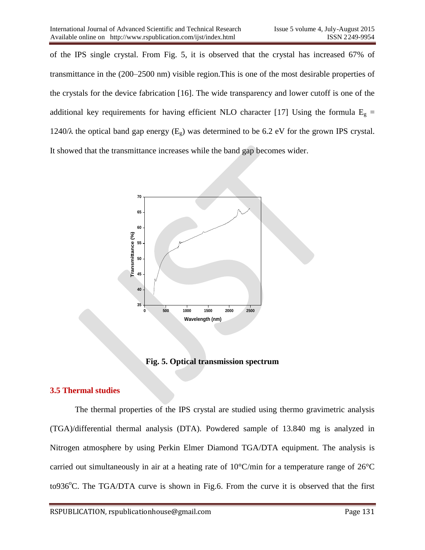of the IPS single crystal. From Fig. 5, it is observed that the crystal has increased 67% of transmittance in the (200–2500 nm) visible region.This is one of the most desirable properties of the crystals for the device fabrication [16]. The wide transparency and lower cutoff is one of the additional key requirements for having efficient NLO character [17] Using the formula  $E<sub>g</sub>$  = 1240/ $\lambda$  the optical band gap energy (E<sub>g</sub>) was determined to be 6.2 eV for the grown IPS crystal. It showed that the transmittance increases while the band gap becomes wider.



**Fig. 5. Optical transmission spectrum**

## **3.5 Thermal studies**

The thermal properties of the IPS crystal are studied using thermo gravimetric analysis (TGA)/differential thermal analysis (DTA). Powdered sample of 13.840 mg is analyzed in Nitrogen atmosphere by using Perkin Elmer Diamond TGA/DTA equipment. The analysis is carried out simultaneously in air at a heating rate of 10°C/min for a temperature range of 26°C to936 $^{\circ}$ C. The TGA/DTA curve is shown in Fig.6. From the curve it is observed that the first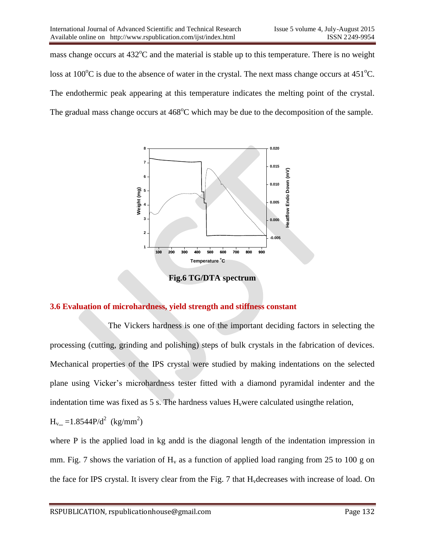mass change occurs at  $432^{\circ}$ C and the material is stable up to this temperature. There is no weight loss at 100 $^{\circ}$ C is due to the absence of water in the crystal. The next mass change occurs at 451 $^{\circ}$ C. The endothermic peak appearing at this temperature indicates the melting point of the crystal. The gradual mass change occurs at  $468^{\circ}$ C which may be due to the decomposition of the sample.



**Fig.6 TG/DTA spectrum**

## **3.6 Evaluation of microhardness, yield strength and stiffness constant**

 The Vickers hardness is one of the important deciding factors in selecting the processing (cutting, grinding and polishing) steps of bulk crystals in the fabrication of devices. Mechanical properties of the IPS crystal were studied by making indentations on the selected plane using Vicker's microhardness tester fitted with a diamond pyramidal indenter and the indentation time was fixed as  $5 \text{ s}$ . The hardness values  $H_v$ were calculated using the relation,

$$
H_{v=}=1.8544P/d^2 \text{ (kg/mm}^2)
$$

where P is the applied load in kg andd is the diagonal length of the indentation impression in mm. Fig. 7 shows the variation of  $H_v$  as a function of applied load ranging from 25 to 100 g on the face for IPS crystal. It isvery clear from the Fig. 7 that  $H<sub>v</sub>$  decreases with increase of load. On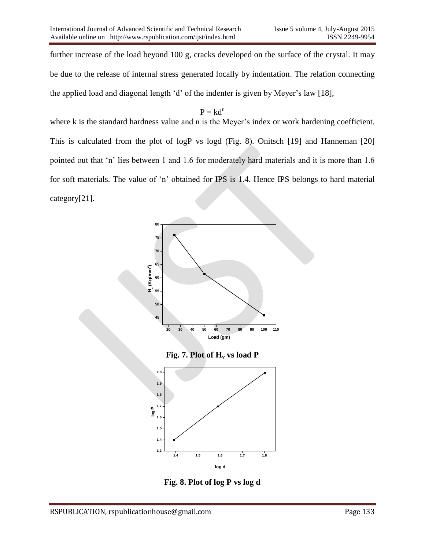further increase of the load beyond 100 g, cracks developed on the surface of the crystal. It may be due to the release of internal stress generated locally by indentation. The relation connecting the applied load and diagonal length 'd' of the indenter is given by Meyer's law [18],

# $P = kd^n$

where k is the standard hardness value and n is the Meyer's index or work hardening coefficient. This is calculated from the plot of logP vs logd (Fig. 8). Onitsch [19] and Hanneman [20] pointed out that 'n' lies between 1 and 1.6 for moderately hard materials and it is more than 1.6 for soft materials. The value of 'n' obtained for IPS is 1.4. Hence IPS belongs to hard material category[21].



**Fig. 8. Plot of log P vs log d**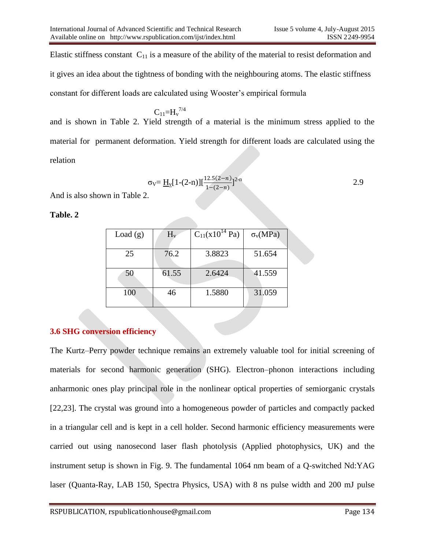Elastic stiffness constant  $C_{11}$  is a measure of the ability of the material to resist deformation and it gives an idea about the tightness of bonding with the neighbouring atoms. The elastic stiffness constant for different loads are calculated using Wooster's empirical formula

 $\rm C_{11}$ =H<sub>v</sub><sup>7/4</sup> and is shown in Table 2. Yield strength of a material is the minimum stress applied to the material for permanent deformation. Yield strength for different loads are calculated using the relation

$$
\sigma_{\rm V} = \underline{H}_{\rm V} [1-(2-n)] [\frac{12.5(2-n)}{1-(2-n)}]^{2-n}
$$

And is also shown in Table 2.

#### **Table. 2**

| Load $(g)$ | $H_v$ | $C_{11}(x10^{14} Pa)$ | $\sigma_v(MPa)$ |
|------------|-------|-----------------------|-----------------|
| 25         | 76.2  | 3.8823                | 51.654          |
| 50         | 61.55 | 2.6424                | 41.559          |
| 100        | 46    | 1.5880                | 31.059          |

# **3.6 SHG conversion efficiency**

The Kurtz–Perry powder technique remains an extremely valuable tool for initial screening of materials for second harmonic generation (SHG). Electron–phonon interactions including anharmonic ones play principal role in the nonlinear optical properties of semiorganic crystals [22,23]. The crystal was ground into a homogeneous powder of particles and compactly packed in a triangular cell and is kept in a cell holder. Second harmonic efficiency measurements were carried out using nanosecond laser flash photolysis (Applied photophysics, UK) and the instrument setup is shown in Fig. 9. The fundamental 1064 nm beam of a Q-switched Nd:YAG laser (Quanta-Ray, LAB 150, Spectra Physics, USA) with 8 ns pulse width and 200 mJ pulse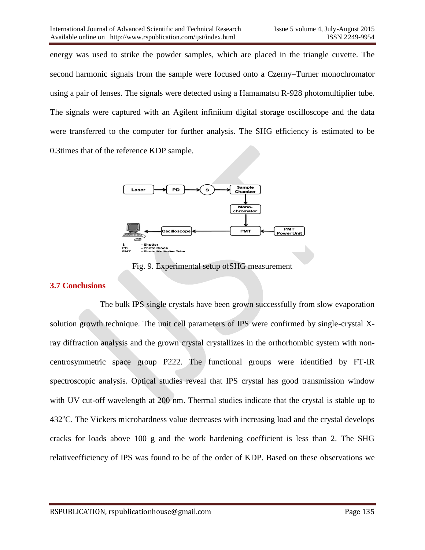energy was used to strike the powder samples, which are placed in the triangle cuvette. The second harmonic signals from the sample were focused onto a Czerny–Turner monochromator using a pair of lenses. The signals were detected using a Hamamatsu R-928 photomultiplier tube. The signals were captured with an Agilent infiniium digital storage oscilloscope and the data were transferred to the computer for further analysis. The SHG efficiency is estimated to be 0.3times that of the reference KDP sample.



Fig. 9. Experimental setup ofSHG measurement

#### **3.7 Conclusions**

The bulk IPS single crystals have been grown successfully from slow evaporation solution growth technique. The unit cell parameters of IPS were confirmed by single-crystal Xray diffraction analysis and the grown crystal crystallizes in the orthorhombic system with noncentrosymmetric space group P222. The functional groups were identified by FT-IR spectroscopic analysis. Optical studies reveal that IPS crystal has good transmission window with UV cut-off wavelength at 200 nm. Thermal studies indicate that the crystal is stable up to  $432^{\circ}$ C. The Vickers microhardness value decreases with increasing load and the crystal develops cracks for loads above 100 g and the work hardening coefficient is less than 2. The SHG relativeefficiency of IPS was found to be of the order of KDP. Based on these observations we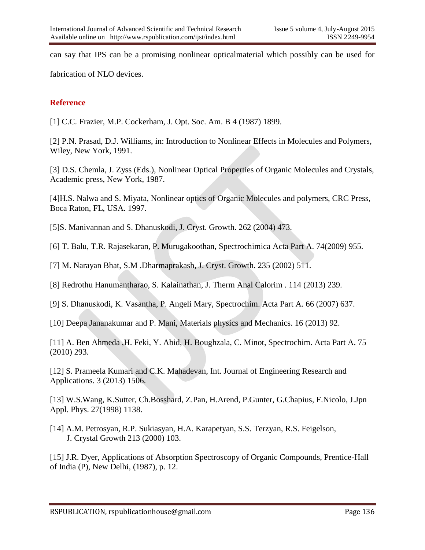can say that IPS can be a promising nonlinear opticalmaterial which possibly can be used for

fabrication of NLO devices.

# **Reference**

[1] C.C. Frazier, M.P. Cockerham, J. Opt. Soc. Am. B 4 (1987) 1899.

[2] P.N. Prasad, D.J. Williams, in: Introduction to Nonlinear Effects in Molecules and Polymers, Wiley, New York, 1991.

[3] D.S. Chemla, J. Zyss (Eds.), Nonlinear Optical Properties of Organic Molecules and Crystals, Academic press, New York, 1987.

[4]H.S. Nalwa and S. Miyata, Nonlinear optics of Organic Molecules and polymers, CRC Press, Boca Raton, FL, USA. 1997.

[5]S. Manivannan and S. Dhanuskodi, J. Cryst. Growth. 262 (2004) 473.

[6] T. Balu, T.R. Rajasekaran, P. Murugakoothan, Spectrochimica Acta Part A. 74(2009) 955.

[7] M. Narayan Bhat, S.M .Dharmaprakash, J. Cryst. Growth. 235 (2002) 511.

[8] Redrothu Hanumantharao, S. Kalainathan, J. Therm Anal Calorim . 114 (2013) 239.

[9] S. Dhanuskodi, K. Vasantha, P. Angeli Mary, Spectrochim. Acta Part A. 66 (2007) 637.

[10] Deepa Jananakumar and P. Mani, Materials physics and Mechanics. 16 (2013) 92.

[11] A. Ben Ahmeda ,H. Feki, Y. Abid, H. Boughzala, C. Minot, Spectrochim. Acta Part A. 75 (2010) 293.

[12] S. Prameela Kumari and C.K. Mahadevan, Int. Journal of Engineering Research and Applications. 3 (2013) 1506.

[13] W.S.Wang, K.Sutter, Ch.Bosshard, Z.Pan, H.Arend, P.Gunter, G.Chapius, F.Nicolo, J.Jpn Appl. Phys. 27(1998) 1138.

[14] A.M. Petrosyan, R.P. Sukiasyan, H.A. Karapetyan, S.S. Terzyan, R.S. Feigelson, J. Crystal Growth 213 (2000) 103.

[15] J.R. Dyer, Applications of Absorption Spectroscopy of Organic Compounds, Prentice-Hall of India (P), New Delhi, (1987), p. 12.